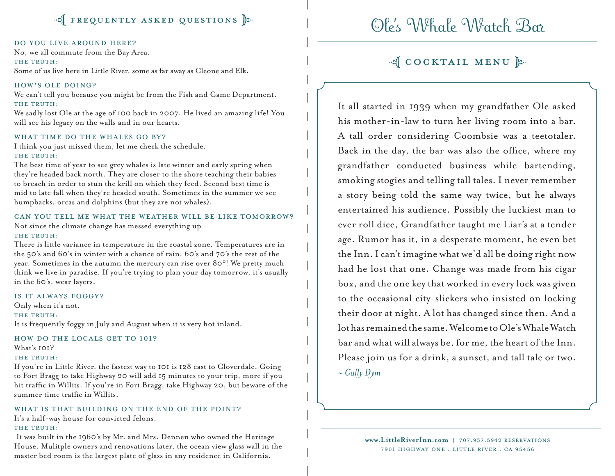### $\mathbb{F}$  FREQUENTLY ASKED QUESTIONS

#### Do you live around here?

No, we all commute from the Bay Area.

#### THE TRUTH:

Some of us live here in Little River, some as far away as Cleone and Elk.

#### How's Ole doing?

We can't tell you because you might be from the Fish and Game Department. THE TRUTH:

We sadly lost Ole at the age of 100 back in 2007. He lived an amazing life! You will see his legacy on the walls and in our hearts.

#### WHAT TIME DO THE WHALES GO BY?

I think you just missed them, let me check the schedule. THE TRUTH:

The best time of year to see grey whales is late winter and early spring when they're headed back north. They are closer to the shore teaching their babies to breach in order to stun the krill on which they feed. Second best time is mid to late fall when they're headed south. Sometimes in the summer we see humpbacks, orcas and dolphins (but they are not whales).

#### Can you tell me what the weather will be like tomorrow?

Not since the climate change has messed everything up THE TRUTH:

There is little variance in temperature in the coastal zone. Temperatures are in the 50's and 60's in winter with a chance of rain, 60's and 70's the rest of the year. Sometimes in the autumn the mercury can rise over 80°! We pretty much think we live in paradise. If you're trying to plan your day tomorrow, it's usually in the 60's, wear layers.

#### Is it always foggy?

Only when it's not. THE TRUTH: It is frequently foggy in July and August when it is very hot inland.

### HOW DO THE LOCALS GET TO 101?

What's 101?

#### THE TRUTH:

If you're in Little River, the fastest way to 101 is 128 east to Cloverdale. Going to Fort Bragg to take Highway 20 will add 15 minutes to your trip, more if you hit traffic in Willits. If you're in Fort Bragg, take Highway 20, but beware of the summer time traffic in Willits.

#### WHAT IS THAT BUILDING ON THE END OF THE POINT?

It's a half-way house for convicted felons.

#### THE TRUTH:

It was built in the 1960's by Mr. and Mrs. Dennen who owned the Heritage House. Mulitple owners and renovations later, the ocean view glass wall in the master bed room is the largest plate of glass in any residence in California.

# Ole's Whale Watch Bar

### of COCKTAIL MENU [

It all started in 1939 when my grandfather Ole asked his mother-in-law to turn her living room into a bar. A tall order considering Coombsie was a teetotaler. Back in the day, the bar was also the office, where my grandfather conducted business while bartending, smoking stogies and telling tall tales. I never remember a story being told the same way twice, but he always entertained his audience. Possibly the luckiest man to ever roll dice, Grandfather taught me Liar's at a tender age. Rumor has it, in a desperate moment, he even bet the Inn. I can't imagine what we'd all be doing right now had he lost that one. Change was made from his cigar box, and the one key that worked in every lock was given to the occasional city-slickers who insisted on locking their door at night. A lot has changed since then. And a lot has remained the same. Welcome to Ole's Whale Watch bar and what will always be, for me, the heart of the Inn. Please join us for a drink, a sunset, and tall tale or two. *~ Cally Dym*

> **www.LittleRiverInn.com** | 707.937.5942 reservations 7901 Highway One . Little River . CA 95456